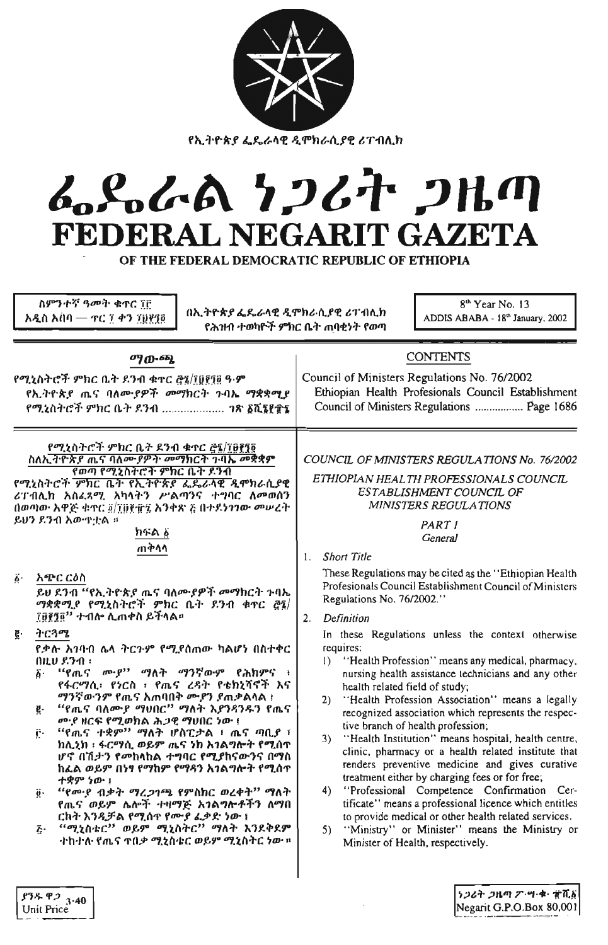| <u>የኢትዮጵያ ፌዴራላዊ ዲሞክራሲያዊ ሪፐብሊክ</u> |
|-----------------------------------|

# L.S.L.A 7267 2Hm FEDERAL NEGARIT GAZETA

OF THE FEDERAL DEMOCRATIC REPUBLIC OF ETHIOPIA

|                       | ስምንተኛ ዓመት ቁጥር ፐቦ<br>በኢትዮጵያ ፌዴራላዊ ዲሞክራሲያዊ ሪፐብሊክ<br>አዲስ አሰባ $-$ ተር ፲ ቀን ፲፱፻፺፬<br>የሕንዘብ ተወካዮች ምክር ቤት ጠባቂነት የወጣ                                                                                                                                                                                                                                                                                                                                                                                                                                                                                                                                                   | 8 <sup>th</sup> Year No. 13<br>ADDIS ABABA - 18th January, 2002                                                                                                                                                                                                                                                                                                                                                                                                                                                                                                                                                                                                                                                                                     |
|-----------------------|---------------------------------------------------------------------------------------------------------------------------------------------------------------------------------------------------------------------------------------------------------------------------------------------------------------------------------------------------------------------------------------------------------------------------------------------------------------------------------------------------------------------------------------------------------------------------------------------------------------------------------------------------------------|-----------------------------------------------------------------------------------------------------------------------------------------------------------------------------------------------------------------------------------------------------------------------------------------------------------------------------------------------------------------------------------------------------------------------------------------------------------------------------------------------------------------------------------------------------------------------------------------------------------------------------------------------------------------------------------------------------------------------------------------------------|
| $\ddot{\phi}$ .<br>ğ. | ማውጫ<br>የሚኒስትሮች ምክር ቤት ዶንብ ቁተር ፫፯/፲፱፻፲፱ ዓ·ም<br>የኢትዮጵያ ጤና ባለሙያዎች መማክርት ጉባኤ ማቋቋሚያ<br>የሚኒስትሮች ምክር ቤት ደንብ  ንጽ ፩ሺ፮፻፹፮<br>የሚኒስትሮች ምክር ቤት ደንብ ቁጥር <u>ሮ፯/፲</u> ፀ፻፺፬<br>ስለኢትዮጵያ ጤና ባለሙያዎት መማክርት ጉባኤ መቋቋም<br>የወጣ የሚኒስትሮች ምክር ቤት ደንብ<br>የሚኒስትሮች ምክር ቤት የኢትዮጵያ ፌዴራሳዊ ዲሞክራሲያዊ<br>ሪፐብሊክ አስፈጻሚ አካላትን ሥልጣንና ተግባር ለመወሰን<br>()ወጣው አዋጅ ቁጥር @/፲፱፻፹፯ አንቀጽ ፩ በተደነገገው መሠረት<br>ይሆን ደንብ አውዋቷል ።<br>ክፍል ፩<br>ጠቅላሳ<br>አጭር ርዕስ<br>ይሀ ደንብ "የኢትዮጵያ ጤና ባለሙያዎች መማክርት ጉባኤ<br>ማቋቋሚያ የሚኒስትሮች ምክር ቤት ደንብ ቁጥር ፸፯/<br>፲፱፻፺፬ <sup>፡›</sup> ተብሎ ሊጠቀስ ይችላል።<br>ትርጓሜ<br>የቃሉ አንባብ ሌላ ትርጉም የሚያሰጠው ካልሆነ በስተቀር<br>በዚህ ደንብ ፡<br><b>''የ</b> ጤና ሙያ'' ማለት ማንኛውም የሕክምና ፣<br>δ٠                                    | <b>CONTENTS</b><br>Council of Ministers Regulations No. 76/2002<br>Ethiopian Health Profesionals Council Establishment<br>Council of Ministers Regulations  Page 1686<br>COUNCIL OF MINISTERS REGULATIONS No. 76/2002<br>ETHIOPIAN HEALTH PROFESSIONALS COUNCIL<br>ESTABLISHMENT COUNCIL OF<br>MINISTERS REGULATIONS<br>PART I<br>General<br><b>Short Title</b><br>$\mathbf{1}$ .<br>These Regulations may be cited as the "Ethiopian Health"<br>Profesionals Council Establishment Council of Ministers<br>Regulations No. 76/2002."<br>Definition<br>2.<br>In these Regulations unless the context otherwise<br>requires:<br>"Health Profession" means any medical, pharmacy.<br>$\vert$ )<br>nursing health assistance technicians and any other |
|                       | የፋርማሲ፣ የነርስ ፣ የጤና ረዳት የቴክኒሻኖች እና<br><i>ማንኛውንም</i> የጤና አጠባበቅ <u>ም</u> ድን ደጠቃልሳል ፣<br>"'የጤና ባለሙ <i>ያ ማ</i> ህበር'' ማለት እ <i>ያንጻንዱ</i> ን የጤና<br>ğ.<br><u>መያ ዘርፍ የሚወክል ሕጋዊ ማሀበር ነው !</u><br>$``$ የጤና ተቋም $''$ ማለት ሆስፒታል ፥ ጤና ጣቢያ ፣<br>Ë۰<br>ከሊኒክ ፡ ፋርማሲ ወይም ጤና ነክ እንልማሎት የሚሰጥ<br><i>ሆኖ በኺታን የመከላከ</i> ል <i>ተግባር የሚያከናውንና በማስ</i><br>ከፌል ወይም በነ <del>ፃ</del> የማከም የማዳን አ <i>ገ</i> ልግሎት የሚሰ <b>ጥ</b><br>ተቋም ነው ፣<br>"የሙያ ብቃት ማረ <i>ጋገ</i> ጫ የምስክር ወረቀት" ማለት<br>$\ddot{\theta}$ .<br>የጤና ወይም ሌሎች <i>ተዛማ</i> ጅ አ <i>ገ</i> ልግሎ <i>ቶች</i> ን ለማበ<br>ርክት እንዲቻል የሚሰዋ የሙያ ፌቃድ ነው ፤<br>$``$ ሚኒስቴር $"$ ወይም ሚኒስትር $"$ ማለት እንደቅደም<br>Ŀ٠<br>·ተከ·ተለ· የጤና ጥበቃ ሚኒስ·ቴር ወይም ሚኒስትር ነው ፡፡ | health related field of study;<br>"Health Profession Association" means a legally<br>2)<br>recognized association which represents the respec-<br>tive branch of health profession;<br>"Health Institution" means hospital, health centre,<br>3)<br>clinic, pharmacy or a health related institute that<br>renders preventive medicine and gives curative<br>treatment either by charging fees or for free;<br>"Professional Competence Confirmation Cer-<br>4)<br>tificate" means a professional licence which entitles<br>to provide medical or other health related services.<br>"Ministry" or Minister" means the Ministry or<br>5)<br>Minister of Health, respectively.                                                                        |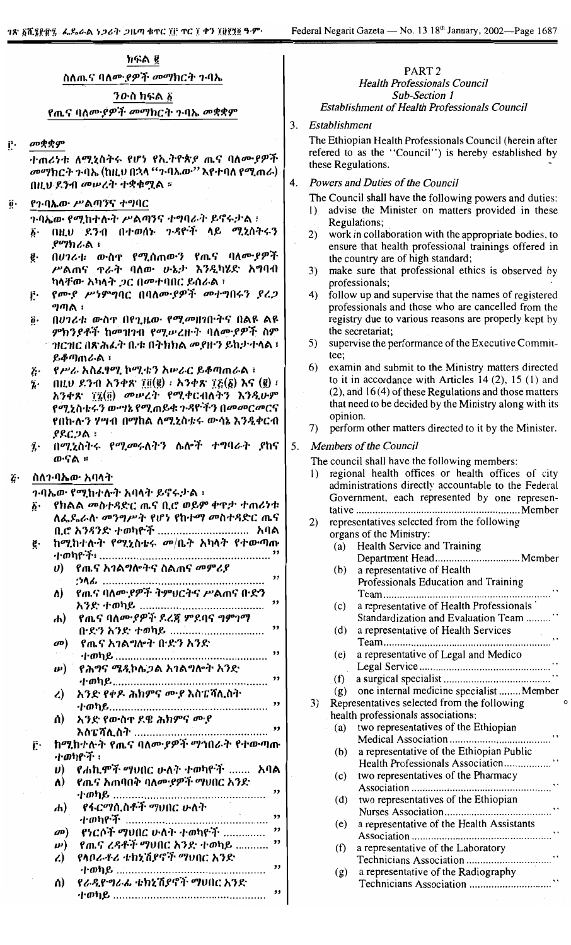## ክፍል ፪ ስለጤና ባለሙ*ያዎች መማ*ክርት ንባኤ *ን*ውስ ክፍል ፩

የጤና ባለሙያዎች መማክርት ጉባኤ መቋቋም

መቋቋም Ë.

> ተጠሪነቱ ለሚኒስትሩ የሆነ የኢትዮጵያ ጤና ባለሙያዎች መማክርት ጉባኤ (ከዚህ በኋላ ''ንብኤው'' እየተባለ የሚጠራ) በዚህ ደንብ መሠረት ተቋቁሟል ።

- የንባኤው ሥልጣንና ተግባር Ö.
	- ንባኤው የሚከተሉት ሥልጣንና ተግባራት ይኖሩታል ፣ በዚህ ደንብ በተወሰኑ ጉዳዮች ላይ ሚኒስትሩን  $\vec{b}$ .  $\rho$ ማክራል፡
	- በሀገሪቱ ውስዋ የሚሰጠውን የጤና ባለሙያዎች ĝ. ሥልጠና ዋራት ባለው ሁኔታ እንዲካሄድ አግባብ ካላቸው አካላት ጋር በመተባበር ይሰራል ፣
	- የሙያ ሥነምግባር በባለሙያዎች መተግበሩን ያረጋ ŗ. ግጣል ፡
	- በሀገሪቱ ውስዋ በየጊዜው የሚመዘገቡትና በልዩ ልዩ  $\ddot{\mathbf{0}}$ . *ምክንያቶች ከመዝገ*ብ የሚሥረዙት ባለሙ*ያዎች* ስም ዝርዝር በጽሕፈት ቤቱ በትክክል መያዙን ይከታትላል ፣ ይቆጣጠራል ፡
	- የሥራ አስፊፃሚ ኮሚቴን አሥራር ይቆጣጠራል ፣ Ŀ.
	- $(0,0)$   $(0,0)$   $(1,0)$   $(2,0)$   $(3,0)$   $(4,0)$   $(5,0)$   $(6,0)$   $(7,0)$   $(8,0)$   $(9,0)$   $(1,0)$   $(1,0)$   $(1,0)$   $(1,0)$   $(1,0)$   $(1,0)$   $(1,0)$   $(1,0)$   $(1,0)$   $(1,0)$   $(1,0)$   $(1,0)$   $(1,0)$   $(1,0)$   $(1,0)$   $(1,0)$   $(1,0$ į. አንቀጽ ፲፯(፬) መሥረት የሚቀርብለትን እንዲሁም የሚኒስቱሩን ውሣኔ የሚጠይቁ ጉዳዮችን በመመርመርና የበከ•ሉ·ን ሃሣብ በማከል ለሚኒስቴሩ ውሳኔ እንዲቀርብ .የደርጋል ፡
	- በሚሂስትሩ የሚመሩለትን ሴሎች ተግባራት ያከና  $\dddot{\mathbf{z}}$ . ወ∙ናል ።
- ስለን ባኤው አባላት  $\ddot{G}$

ንብኤው የሚከተሉት አባላት ይኖሩታል ፡

- የክልል መስተዳድር ጤና ቢሮ ወይም ቀዋታ ተጠሪነቱ  $\ddot{\bm{\delta}}$ ለፌዶሬላ መንግሥት የሆነ የከተማ መስተዳድር ጤና ቢሮ አንዳንድ ተወካዮች .................................. አባል ከሚከተሉት የሚኒስቴሩ መ/ቤት አካላት የተውጣጡ ë.
	- የጤና አ*ገ*ልግሎትና ስልጠና *መምሪያ*  $\boldsymbol{\theta}$  $\overline{\mathbf{v}}$ *የጤና ባለሙያዎች ትምህርትና ሥ*ልጠና በ·ድን Λ)  $\overline{\mathbf{v}}$
	- የጤና ባለሙ*ያዎች ደረጃ ምደባና ግምገማ* ሐ)
		- $\mathbf{a}$ የጤና አገልግሎት ቡድን አንድ

 $\overline{\mathbf{z}}$ 

- የሕግና ሜዲኮሌጋል አገልግሎት አንድ  $\boldsymbol{\mu}$ አንድ የቀዶ ሕክምና ሙያ እስፔሻሊስት  $\mathcal{L}$
- አንድ የውስዋ ደዌ ሕክምና ሙያ ሰ)
- 
- ከማከተሉት የጤና ባለሙያዎች ማኅበራት የተውጣጡ ŕ. ·ተወካዮች ፡
	- *የሐኪሞች ማህበር ሁለት ተወካዮች .......* አባል  $\boldsymbol{\boldsymbol{\upsilon}}$ *የጤና አ*ጠባበቅ ባለሙ*ያዎች ማ*ህበር አንድ
	- A)
	- የፋርማሲስቶች ማህበር ሁለት  $\bf{d}$ 1. mne. 72 የነርሶች ማህበር ሁለት ተወካዮች ................ "  $\mathbf{a}(\mathbf{p})$ የጨና ረዳቶች ማህበር እንድ ተወካይ ........... "  $\boldsymbol{\mu}$ የላቦራቶሪ ቴክኒሽያኖች ማህበር አንድ  $\mathcal{L}$
	- $\overline{\mathbf{v}}$ ሰ) የራዲዮግራፊ ቱክኒሽያኖት ማህበር አንድ

#### PART<sub>2</sub> **Health Professionals Council** Sub-Section 1 **Establishment of Health Professionals Council**

#### $3<sub>1</sub>$ Establishment

The Ethiopian Health Professionals Council (herein after refered to as the "Council") is hereby established by these Regulations.

- 4. Powers and Duties of the Council
	- The Council shall have the following powers and duties:
	- advise the Minister on matters provided in these Regulations:
	- work in collaboration with the appropriate bodies, to  $(2)$ ensure that health professional trainings offered in the country are of high standard;
	- make sure that professional ethics is observed by professionals;
	- $4)$ follow up and supervise that the names of registered professionals and those who are cancelled from the registry due to various reasons are properly kept by the secretariat:
	- supervise the performance of the Executive Commit-5) tee;
	- 6) examin and submit to the Ministry matters directed to it in accordance with Articles 14  $(2)$ , 15  $(1)$  and  $(2)$ , and 16(4) of these Regulations and those matters that need to be decided by the Ministry along with its opinion.
	- perform other matters directed to it by the Minister. **7**)

#### 5. Members of the Council

The council shall have the following members:

- regional health offices or health offices of city  $\mathbf{D}$ administrations directly accountable to the Federal Government, each represented by one represen-
- $2)$ representatives selected from the following organs of the Ministry: Health Service and Training  $(a)$ Department Head.................................. Member a representative of Health  $(b)$ Professionals Education and Training  $(c)$ a representative of Health Professionals Standardization and Evaluation Team ........ a representative of Health Services  $(d)$ a representative of Legal and Medico  $(e)$  $(f)$ one internal medicine specialist ........Member  $(g)$ Representatives selected from the following  $3)$ health professionals associations: two representatives of the Ethiopian  $(a)$ (b) a representative of the Ethiopian Public Health Professionals Association................. two representatives of the Pharmacy  $(c)$ (d) two representatives of the Ethiopian a representative of the Health Assistants  $(e)$  $(f)$ a representative of the Laboratory a representative of the Radiography  $(g)$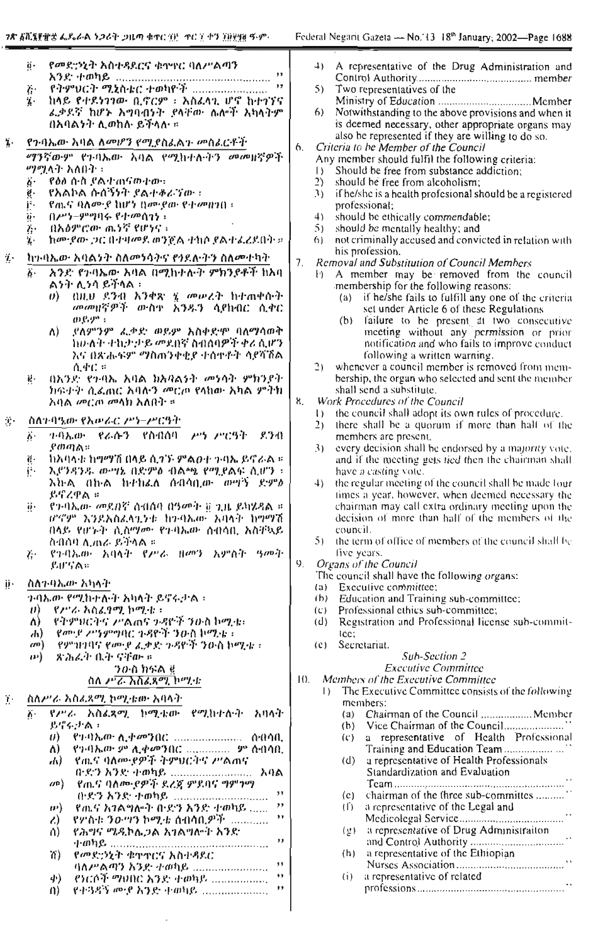$\overline{\phantom{a}}$ 

|                            | የመድኃኒት አስተዳደርና ቁኅຯየር ባለሥልጣን<br>ö.                                               |                       |                     | 4) A representative of the Drug Administration and                                                           |
|----------------------------|---------------------------------------------------------------------------------|-----------------------|---------------------|--------------------------------------------------------------------------------------------------------------|
|                            | ,,<br>$P$ ትምህርት ሚኒስቴር ተወካዮች<br>,,                                               |                       |                     | 5) Two representatives of the                                                                                |
|                            | $\ddot{G}$<br>ከላይ የተደነገገው ቢኖርም ፣ አስፈላጊ ሆኖ ከተገኘና<br>$\ddot{\bm{\ell}}$           |                       |                     |                                                                                                              |
|                            | ፌቃደኛ ከሆኑ አግባብነት ያላቸው ሴሎች አካላትም                                                  |                       | 6)                  | Notwithstanding to the above provisions and when it                                                          |
|                            | በአባልነት ሊወከሉ ይችላሉ ፡፡                                                             |                       |                     | is deemed necessary, other appropriate organs may                                                            |
| ï٠                         | የንባኤው አባል ለመሆን የሚያስፈልጉ መስፈርቶች                                                   | 6.                    |                     | also be represented if they are willing to do so.<br>Criteria to be Member of the Council                    |
|                            | ማንኛውም የጉባኤው አባል የሚከተሉትን መመዘኛዎች                                                  |                       |                     | Any member should fulfil the following criteria:                                                             |
|                            | ማሟላት አለበት ፡                                                                     |                       |                     | Should be free from substance addiction;                                                                     |
|                            | ö٠<br>የዕል ሰ-ስ ያል ተጠናወተው።<br>የአልኮል ሱስኝንት የልተቆራኘው ፡                               |                       | $\mathbf{2}$<br>(3) | should be free from alcoholism;                                                                              |
|                            | ġ.<br>ŗ.<br><u> የጤና ባለሙያ ከሆነ በሙያው የተመዘንበ።</u>                                   |                       |                     | if he/she is a health profesional should be a registered<br>professional;                                    |
|                            | ğ.<br>$0.43 - 99911$ ሩ የተመሰገነ ፡                                                 |                       | 4)                  | should be ethically commendable;                                                                             |
|                            | በአዕምሮው ጨነኝ የሆነና ፡<br>Ï۰                                                         |                       | 5)                  | should be mentally healthy; and                                                                              |
|                            | ከመዋው ጋር በተዛመደ ወንጀል ተከሶ ደልተፈረደበት ፡፡<br>ï.                                        |                       | (6)                 | not criminally accused and convicted in relation with<br>his profession.                                     |
| Ž٠                         | ክኩባኤው አባልንት ስለመነሳትና የኅደለትን ስለመተካት                                               | 7.                    |                     | Removal and Substitution of Council Members                                                                  |
|                            | -አንድ የንባኤው አባል በሚከተሉት ምክንደቶች ከአባ<br>$\ddot{b}$ .<br>ልንት ሊንሳ ይችላል ፡              |                       |                     | F) A member may be removed from the council                                                                  |
|                            | በዚህ ደንብ አንቀጽ ፯ መሥረት ከተጠቀሱት<br>$\langle \theta \rangle$                          |                       |                     | membership for the following reasons:<br>(a) if he/she fails to fulfill any one of the criteria              |
|                            | መመዘኛዎች ውስቱ አንዱን ሳያክብር ሲቀር                                                       |                       |                     | set under Article 6 of these Regulations                                                                     |
|                            | (P.P'.')                                                                        |                       |                     | (b) failure to be present at two consecutive                                                                 |
|                            | ለ) ያለምንም ፌቃድ ወይም አስቀድሞ ባለማሳወቅ<br>ከውለት ተከታ ታይ መደበኛ ስብሰባዎች ቀሪ ሲሆን                 |                       |                     | meeting without any permission or prior<br>notification and who fails to improve conduct                     |
|                            | እና በጽሑፍም ማስሐንቀቂያ ተሰሞቶት ሳያሻሽል                                                    |                       |                     | following a written warning.                                                                                 |
|                            | $\Lambda$ $4^{\circ}$ $C$ $\approx$                                             |                       | $\mathfrak{D}$      | whenever a council member is removed from mem-                                                               |
|                            | በአንድ የጉባኤ አባል ከአባልነት መነሳት ምክንደት<br>Ŗ.<br>ክፍተት ሲፌጠር አባሉን መርጦ የላክው አካል ምትክ        |                       |                     | bership, the organ who selected and sent the member<br>shall send a substitute.                              |
|                            | አባል መርጦ መላክ አለበት ፣                                                              | 8.                    |                     | Work Procedures of the Council                                                                               |
|                            | ስለጉባዔው የአሥራር ሥነ-ሥርዓት                                                            |                       | $\downarrow$        | the council shall adopt its own rules of procedure.                                                          |
| $\mathcal{F}_\mathbf{r}$ . | .ምሳኤው የራሱን የስብሰባ ሥነ-ሥርዓት ደንብ                                                    |                       | 2)                  | there shall be a quorum if more than half of the                                                             |
|                            | ö٠<br>የመጣል።                                                                     |                       | (3)                 | members are present.<br>every decision shall be endorsed by a majority vote.                                 |
|                            | ከአባላቱ ከማማሽ በላይ ሲታኙ ምልወተ ጉባኤ ይኖራል ።<br>$\ddot{\mathbf{g}}$ .                     |                       |                     | and if the meeting gets tied then the chairman shall                                                         |
|                            | ij.<br>እድንዳንዱ ውሣኔ በድምል ብልጫ የሚያልፍ ሲሆን ፣                                          |                       |                     | have a casting vote.                                                                                         |
|                            | እክል በኩል ከተከፈለ ሰብሳቢው ውዋኝ ደምፅ<br>ይኖረዋል ።                                          |                       |                     | 4) the regular meeting of the council shall be made four<br>times a year, however, when deemed necessary the |
|                            | የንብኤው መደበኛ ስብሰባ በዓመት ፱ ጊዜ ይካሄዳል ።<br>$\ddot{\theta}$ .                          |                       |                     | chairman may call extra ordinary meeting upon the                                                            |
|                            | ሆኖም እንደአስፈላጊንቱ ከንባኤው አባላት ከማማሽ                                                  |                       |                     | decision of more than half of the members of the                                                             |
|                            | ብላይ የሆኑት ሲስማሙ የጉባኤው ሰብሳቢ አስቸኳይ<br>ስብስባ ሲጠራ ይችላል ።                               |                       |                     | council.<br>5) the term of office of members of the council shall be                                         |
|                            | የንብኤው አባላት የሥራ ዘመን አምስት ዓመት<br>$\mathcal{L}$ .                                  |                       |                     | five years.                                                                                                  |
|                            | アルマクッ                                                                           | 9.                    |                     | Organs of the Council                                                                                        |
| ij۰                        | ስስን-ባኤው አካላት                                                                    |                       |                     | The council shall have the following organs:<br>(a) Executive committee;                                     |
|                            | <i>ጉባኤው የሚከተሉት አካ</i> ላት ይኖሩታል ፡                                                |                       |                     | (b) Education and Training sub-committee;                                                                    |
|                            | U<br>- የፖ'ራ አስፈፃሚ ኮሚቴ ፡                                                         |                       | (C)                 | Professional ethics sub-committee;                                                                           |
|                            | የትምክርትና ሥልሐና ጉዳዮች ንዑስ ኮሚቱ፣<br>ለ)<br>የሙያ ሥነምባዊር ጉዳዮች ንዑስ ኮሚቴ ፣<br>$\overline{d}$ |                       | (d)                 | Registration and Professional license sub-commit-<br>tee;                                                    |
|                            | - የምክባባና የመዋ ፌቃድ ኅዳዮች ንዑስ ኮሚቱ ፣<br>(40)                                         |                       | (C)                 | Secretariat.                                                                                                 |
|                            | ጽሕፈት ቤት ናቸው »<br>$\boldsymbol{w}$                                               |                       |                     | Sub-Section 2                                                                                                |
|                            | ንውስ ክፍል ፪<br>ስለ ሥራ አሸፈጸሚ ኮሚቱ                                                    | $\vert \{ \} \rangle$ |                     | <b>Executive Committee</b><br>Members of the Executive Committee                                             |
|                            |                                                                                 |                       | $\vert$ )           | The Executive Committee consists of the following                                                            |
| Ä.                         | ስለሥራ አስፈጸሚ ኮሚቴው አባላት<br><i>የሥራ አስፈጻሚ ከሚቴ</i> ው የሚክተሉት አባላት<br>ή.                |                       |                     | members:<br>(a) Chairman of the Council  Member                                                              |
|                            | B雪尔·小杰:                                                                         |                       |                     | (b)                                                                                                          |
|                            | 0) የጋባኤው ሲቃመንበር  ስብሳቢ                                                           |                       |                     | a representative of Health Professional<br>$(\zeta)$                                                         |
|                            | .የኅብኤው ም ሊቀመንበር  ም ስብሳቢ<br>ለ)<br>ሕ) ፣ የጨና ባለሙያዎች ትምህርትና ሥልሐና                    |                       |                     |                                                                                                              |
|                            | በድን አንድ ተወካይ  አባል                                                               |                       |                     | a representative of Health Professionals.<br>(d)<br>Standardization and Evaluation                           |
|                            | የጤና ባለሙያዎች ደረጃ ምደባና ግም <i>ነማ</i><br>$\langle n \rangle$                         |                       |                     |                                                                                                              |
|                            | 53<br>,,                                                                        |                       |                     | chairman of the three sub-committes<br>(c)<br>a representative of the Legal and<br>$(\dot{\Gamma})$          |
|                            | የጨና አንልግሎት በነድን አንድ ተወካይ<br>(B)<br>,,<br>የሦስቱ ንውዋን ኮሚቴ ሰብሳቢዎች<br>$\lambda$      |                       |                     |                                                                                                              |
|                            | የሕግና ሜዲኮሌጋል አገልግሎት አንድ<br>ń)                                                    |                       |                     | a representative of Drug Administration<br>(할)                                                               |
|                            | 5.5                                                                             |                       |                     | a representative of the Ethiopian<br>(h)                                                                     |
|                            | n)<br>የመድኃኒት ቁተተርና አስታዳደር --<br>$, \,$<br>ባለሥልጣን አንድ ተወካይ                       |                       |                     |                                                                                                              |
|                            | $\rightarrow$<br>የነርሶች ማህበር እንድ ተወካይ<br>4)                                      |                       |                     | a representative of related<br>(i)                                                                           |
|                            | $, \,$<br>የተ3ዳኝ ሙያ አንድ ተወካይ<br>(1)                                              |                       |                     |                                                                                                              |
|                            |                                                                                 |                       |                     |                                                                                                              |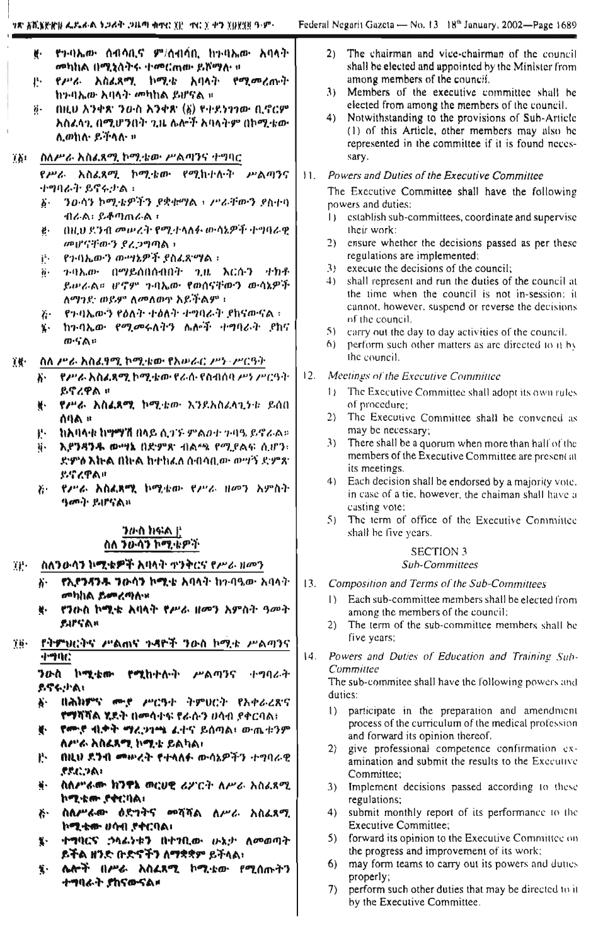- የንባኤው ሰብሳቢኖ ም/ሰብሳቢ ከንባኤው አባላት W. መካከል በሚንስትሩ ተመርጠው ይሾማሉ ።
- የሥራ አስፈጻሚ ኮሚቴ አባላት የሚመረጡት ₽., ከንብሔው አባላት መካከል ይሆናል ፡፡
- በዚሁ አንቀጽ ንዑስ አንቀጽ (፩) የተደንገንው ቢኖርም  $\ddot{\theta}$  . አስፈላጊ በሚሆንበት ጊዜ ሌሎች አባላትም በኮሚቴው ሊወክሉ ይችላሉ »
- ስለሥራ አስፈጻሚ ኮሚቴው ሥልጣንና ተግባር  $78t$

የሥራ አስፈጻሚ ኮሚቴው የሚከተሉት ሥልጣንና ተግባራት ይኖሩታል ፡

- ንዑሳን ኮሚቴዎችን ደቋቋማል ፣ ሥራቸውን ደስተባ ኔ. ብራል፡ ይቆጣጠራል ፣
- በዚህ ደንብ መሠረት የሚቀላለፉ ውሳኔዎች ተማባራዊ ë. መሆናቸውን ደረጋግጣል ፣
- የኅባኤውን ውሣኔዎች የስፈጸማል ፡ ijs.
- ን ባኤው በማይሰበሰብበት ጊዜ እርሱን *ተክቶ* 6. ይሥራል። ሆኖም ጉባኤው የወሰናቸውን ውሳኔዎች ለማንድ ወይም ለመለወቁ አይችልም ፣
- የጉባኤውን የዕለት ተዕለት ተግባራት የከናውናል ፡ 7. €
- ከንብኤው የሚመሩለትን ሌሎች ተግባራት ደከና 紫红 መናል።
- 前景・ ስለ ሥራ አስፈፃሚ ኮሚቴው የአሥራር ሥነ-ሥርዓት
	- . የሥራ አስፈጻሚ ኮሚቴው የራሱ የስብሰባ ሥነ ሥርዓት አ` ይኖረዋል ።
	- ¥· የሥራ እስፈጸማ, ኮሚቱው እንደአስፈላጊነቱ ይሰበ **UUV 8**
	- **ከአባላቱ ከማማሽ በላይ ሲ**ጎኙ ምልውታ ምባዔ ይኖራል።  $\mathbf{P}$
	- እያንዳንዱ ውሣኔ በድምጽ ብልጫ የሚያልፍ ሲሆን፣ ij. ድምሶ እኩል በትሉ ከተከፈለ ሰብሳቢው ውሣኝ ድምጽ. ይኖረዋል።
	- እና የሥራ እስልጸሜ ኮሚቴው የሥራ ዘመን አምስት ዓመት ይሆናል።

### ንውስ ክፍል <u>በ</u> ስለ ንውሳን ኮሚቴዎች

- ስለንውሳን ኮሚቄዎች አባላት ጥንቅርና የሥራ ዘመን TP.
	- የኢየንዳንዱ ንውሳን ኮሚቴ አባላት ከ2ብዔው አባላት አ-መካከል ይመረጣሉ።
	- የንቡስ ኮሚቴ አባላት የሥራ ዘመን አምስት ዓመት ų. EIFSAR
- የትምህርትና ሥልሐና ተዳዮች ንውስ ኮሚቱ ሥልጣንና 76. नेन्श्रमेट

ንውስ ኮሚቴሙ የሚከተሉት ሥልጣንና ተግባራት ይኖሩታል፣

- በሕክምና ሙያ ሥርዓት ትምሀርት የአቀራሪጽና s. የማሻሻል ሂደት በመሳተፍ የራሱን ሀሳብ ያቀርባል፤
- የሙያ ብቃት ማረጋገጫ ፈተና ይሰጣል፣ ውጤቱንም v. ለሥራ አስፈጻሚ ኮሚቴ ይልካል፣
- በዚህ ዶንብ መሥረት የተላለፉ ውሳኔዎችን ተግባራዊ Ŗ. アスピンハン
- ስስሥራው ክንዋኔ ወርሀዊ ሪፖርት ስሥራ አስፈጻሚ 等。 ኮሚቴሎ ያቀርባል።
- ስለሥራው ዕድንትና መሻሻል ለሥራ አስፈጻሚ ぶ ኮሚቴሙ ሀሳብ ያቀርባል።
- ተግባርና ኃሳፌነቱን በተነቢው ሁኔታ ለመወጣት 至り ይችል ዘንድ ቡድኖችን ለማቋቋም ይችላል፣
- ሌሎች በሥራ አስፈጻሚ ኮሚቴው የሚሰጡትን 笑い ተግባራት ያከናውናል።
- 2) The chairman and vice-chairman of the council shall be elected and appointed by the Minister from among members of the council.
- 3) Members of the executive committee shall be elected from among the members of the council.
- 4) Notwithstanding to the provisions of Sub-Article (1) of this Article, other members may also be represented in the committee if it is found necessary.

## 11. Powers and Duties of the Executive Committee

The Executive Committee shall have the following powers and duties:

- 1) establish sub-committees, coordinate and supervise their work:
- $(2)$ ensure whether the decisions passed as per these regulations are implemented:
- 3) execute the decisions of the council;
- 4) shall represent and run the duties of the council at the time when the council is not in-session: it cannot, however, suspend or reverse the decisions of the council.
- 5) carry out the day to day activities of the council.
- 6) perform such other matters as are directed to it by the council.
- $12.$ Meetings of the Executive Committee
	- 1) The Executive Committee shall adopt its own rules of procedure:
	- The Executive Committee shall be convened as  $2)$ may be necessary;
	- 3) There shall be a quorum when more than half of the members of the Executive Committee are present at its meetings.
	- 4) Each decision shall be endorsed by a majority vote. in case of a tie, however, the chaiman shall have a casting vote;
	- 5) The term of office of the Executive Committee shall be five years.

#### **SECTION 3 Sub-Committees**

- $13.$ Composition and Terms of the Sub-Committees
	- 1) Each sub-committee members shall be elected from among the members of the council;
	- $2)$ The term of the sub-committee members shall be five years;
- $|4.$ Powers and Duties of Education and Training Sub-Committee

The sub-commitee shall have the following powers and duties:

- 1) participate in the preparation and amendment process of the curriculum of the medical profession and forward its opinion thereof.
- 2) give professional competence confirmation examination and submit the results to the Executive Committee:
- 3) Implement decisions passed according to these regulations;
- 4) submit monthly report of its performance to the Executive Committee;
- 5) forward its opinion to the Executive Committee on the progress and improvement of its work;
- 6) may form teams to carry out its powers and duties properly;
- perform such other duties that may be directed to it  $7)$ by the Executive Committee.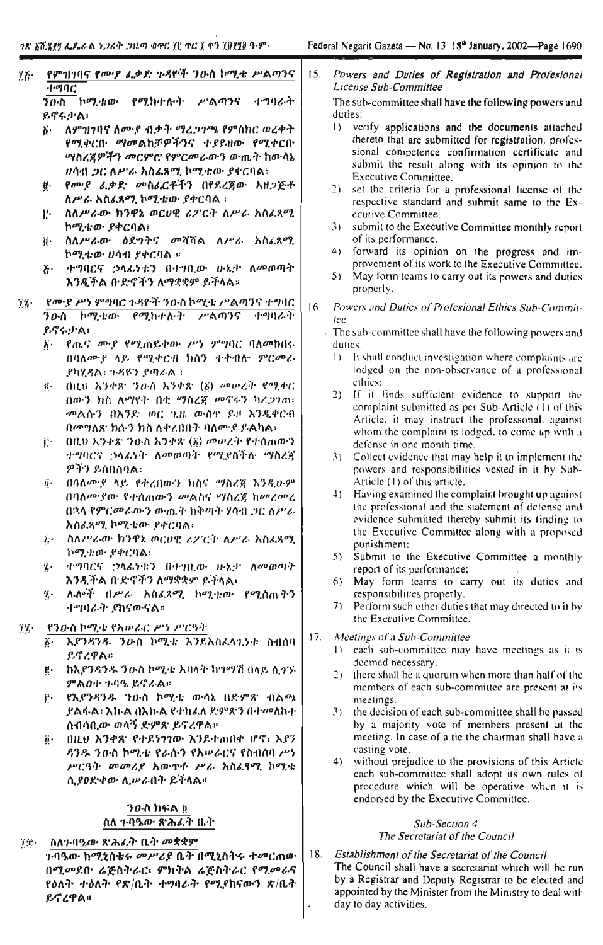የምዝንባና የሙያ ፌቃድ ኮዳዮች ንዑስ ኮሚቴ ሥልጣንና TG.  $\overline{H}$ .<br>ከሚ*ቴ*ው የሚከተሉት ሥልጣንና ተግባራት ንውስ

ይኖሩታል፣

- <u>አ ለምንሆባና ለሙያ ብቃት ማረጋንጫ የምስክር ወረቀት</u> የሚቀርቡ ማመልከቻዎችንና ተያይዘው የሚቀርቡ ማስረጀዎችን መርምሮ የምርመራውን ውጤት ከውሳኔ ሀሳብ ጋር ለሥራ አስፌጻሚ ኮሚቴው ያቀርባል፣
- የመሆ ፈቃድ መስፈርቶችን በየደረጀው አዘጋጅቶ H. ለሥራ አስፌጻሚ ኮሚቴው ያቀርባል ፡
- ስለሥራው ክንዋኔ ወርሀዊ ሪፖርት ለሥራ አስፈጸማ. 꾠. ኮሚቱው ያቀርባል፣
- ስለሥራው ዕደግትና መሻሻል ለሥራ አስፈጻሚ ii -ኮሚቴው ሀሳብ ያቀርባል ።
- ተግባርና ኃላፊነቱን በተገቢው ሁኔታ ለመወጣት  $E -$ እንዲችል ቡድኖችን ለማቋቋም ይችላል።
- የሙያ ሥነ ምግባር ጉዳዮች ንዑስ ኮሚቴ ሥልጣንና ተግባር  $17 -$ ንውስ ኮሚቴው የሚከታለት ሥልጣንና ተዋባራት  $\rho$ , ( $\gamma$ ) 'ል!
	- δ· የጤና ሙያ የሚጠይቀው ሥነ ምግባር ባለመከበሩ በባለሙያ ላይ የሚቀርብ ክስን ተቀብሎ ምርመራ .የካሂዳል፡ ጉዳዩን ያጣራል።
	- g በዚህ አንቀጽ ንውስ አንቀጽ (፩) መሥረት የሚቀር በውን ክስ ለማየት በቂ ማስረጃ መኖሩን ካረጋገጠ፡ መልሱን በአንድ ወር ጊዜ ውስድ ይዞ እንዲቀርብ በመግለጽ ክሱን ክስ ለቀረበበት ባለሙያ ይልካል፡
	- (በዚህ አንቀጽ ንዑስ አንቀጽ (፩) መሠረት የተሰጠውን ï₩ ተግባርና ኃላፊነት ለመወጣት የሚደስችሉ ማስረጃ ዎችን ይሰበስባል።
	- በባለሙያ ላይ የቀረበውን ክስና "ሃስሪጀ እንዲሁም ä. በባለሙያው የተሰጠውን መልስና ማስረጃ ከመረመረ በኋላ የምርመራውን ውጤት ከቅጣት ሃሳብ ጋር ለሥራ አስፈጻሚ ኮሚቴው ያቀርባል፣
	- ?) ስለሥራው ክንዋኔ ወርሀዊ ሪፖርት ለሥራ አስፌጻሚ ኮሚቴው ያቀርባል፡
	- ተማባርና ኃላፊነቱን በተገቢው ሁኔታ ለመወጣት Ķ. እንዲችል ቡድኖችን ለማቋቋም ይችላል፣
	- ሌሎች በሥራ አስፈጻሚ ኮሚቴው የሚሰጡትን ij. ተማባራት ያክናውናል።

#### የንውስ ኮሚቴ የአሥራር ሥነ ሥርዓት  $T_{\rm A}$

- እያንዳንዱ ንዑስ ኮሚቴ እንደአስፈላጊነቱ ስብሰባ ይናረዋል።
- ከእያንዳንዱ ንውስ ኮሚቴ አባላት ክግማሽ በላይ ሲጎኙ g. ምልወተ ጉባዔ ይኖራል።
- $\mathbf{j}^{\mathbf{r}}$ e i የኢየንዳንዱ ንውስ ኮሚቴ ውሳኔ በድምጽ ብልጫ ,የልፋል፡ እኩል በእኩል የተከፊለ ድምጽን በተመለከተ ሰብሳቢው ወሳኝ ደምጽ ይኖረዋል።
- ij) በዚህ አንቀጽ የተደነንንው እንደተጠበቀ ሆኖ፣ አይን ዳንዱ ንውስ ኮሚቴ የራሱን የአሥራርና የስብሰባ ሥነ ሥርዓት መመሪያ አውዋቶ ሥራ አስፌፃሚ ኮሚቄ ሲያወድቀው ሊሥራበት ይችላል።

## ንውስ ክፍል @ ስለ 7፡ባዔው ጽሕፈት ቤት

- ስለተባዔው ጽሕፊት ቤት መቋቋም TT.
	- ን ባዔው ክሚኒስቴሩ *መሥሪያ* ቤት በሚኒስትሩ ተመርጠው በሚመደበ• ሬጅስትራር፣ ምክትል ሬጅስትራር የሚመራና የዕለት ተዕለት የጽ/ቤት ተግባራት የሚያከናውን ጽ/ቤት ይኖረዋል።

 $15.$ Powers and Duties of Registration and Profesional License Sub-Committee

The sub-committee shall have the following powers and duties:

- verify applications and the documents attached  $\mathbf{1}$ thereto that are submitted for registration, professional competence confirmation certificate and submit the result along with its opinion to the Executive Committee.
- $2)$ set the criteria for a professional license of the respective standard and submit same to the Executive Committee.
- $31$ submit to the Executive Committee monthly report of its performance.
- $4)$ forward its opinion on the progress and improvement of its work to the Executive Committee.
- $5)$ May form teams to carry out its powers and duties properly.
- $16.$ Powers and Duties of Profesional Ethics Sub-Commit- $Iee$ 
	- The sub-committee shall have the following powers and  $\mathcal{L}$ duties.
		- 1) It shall conduct investigation where complaints are lodged on the non-observance of a professional ethics;
		- 2) If it finds sufficient evidence to support the complaint submitted as per Sub-Article (1) of this Article, it may instruct the professonal, against whom the complaint is lodged, to come up with a defense in one month time.
		- 3) Collect evidence that may help it to implement the powers and responsibilities vested in it by Sub-Article (1) of this article.
		- 4) Having examined the complaint brought up against the professional and the statement of defense and evidence submitted thereby submit its finding to the Executive Committee along with a proposed punishment:
		- $5)$ Submit to the Executive Committee a monthly report of its performance;
		- $6)$ May form teams to carry out its duties and responsibilities properly.
		- $71$ Perform such other duties that may directed to it by the Executive Committee.

#### Meetings of a Sub-Committee  $17.$

- 1) each sub-committee may have meetings as it is deemed necessary.
- $2$ ) there shall be a quorum when more than half of the members of each sub-committee are present at its meetings.
- 3) the decision of each sub-committee shall be passed by a majority vote of members present at the meeting. In case of a tie the chairman shall have a casting vote.
- 4) without prejudice to the provisions of this Article each sub-committee shall adopt its own rules of procedure which will be operative when it is endorsed by the Executive Committee.

#### Sub-Section 4 The Secretariat of the Council

Establishment of the Secretariat of the Council 18. The Council shall have a secretariat which will be run by a Registrar and Deputy Registrar to be elected and appointed by the Minister from the Ministry to deal with day to day activities.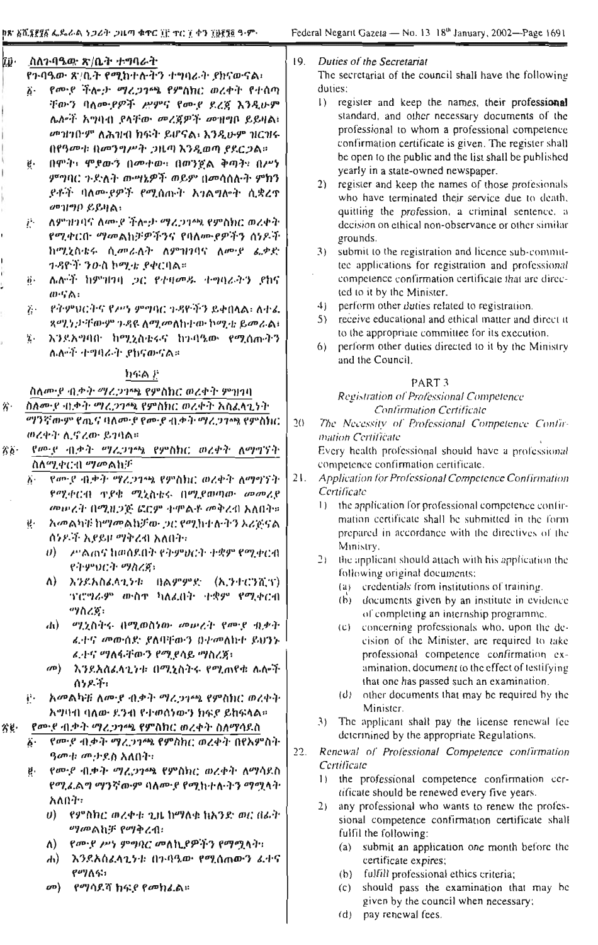| īp.                                       | .ስለንብዔው ጽ/ቤት ተግባራት<br>የንብዔው ጽ/ቤት የሚከተሉትን ተግባራት ያከናውናል፡                                                                                                                                                                                               | Duties of the Secretariat<br>19.<br>The secretariat of the council shall have the following                                                                                                                                                                                                                                                            |
|-------------------------------------------|------------------------------------------------------------------------------------------------------------------------------------------------------------------------------------------------------------------------------------------------------|--------------------------------------------------------------------------------------------------------------------------------------------------------------------------------------------------------------------------------------------------------------------------------------------------------------------------------------------------------|
|                                           | የሙያ ችሎታ ማረጋንጫ የምስክር ወረቀት የተሰጣ<br>Ä٠<br>ቸውን ባለሙያዎች ሥምና የሙያ ደረጃ እንዲሁም<br>ሌሎች አግባብ ያላቸው መረጀዎች መዝግቦ ይይዛል።<br>መንዘጋበማ ለሕዝብ ክፍት ይሆናል፣ እንዲሁም ዝርዝሩ<br>በየዓመት በመንግሥት ጋዜጣ እንዲወጣ ያደርጋል።<br>በሞት፣ ሞደውን በመተው፣ በወንጀል ቅጣት፣ በሥነ<br>ġ.<br>ምግባር ጉድለት ውሣኔዎች ወይም በመሳሰሉት ምክን | duties:<br>$\left  \cdot \right\rangle$<br>register and keep the names, their professional<br>standard, and other necessary documents of the<br>professional to whom a professional competence<br>confirmation certificate is given. The register shall<br>be open to the public and the list shall be published<br>yearly in a state-owned newspaper. |
|                                           | <i>ያቶች ባለሙያዎች የሚሰ</i> ጡት አንልግሎት ሲቋረኖ<br>መዝግቦ ይይዛል፡<br>ለምንዞነባና ለሙያ ችሎታ ማረጋገጫ የምስክር ወረቀት<br>ij.                                                                                                                                                        | register and keep the names of those profesionals<br>(2)<br>who have terminated their service due to death,<br>quitting the profession, a criminal sentence, a<br>decision on ethical non-observance or other similar                                                                                                                                  |
|                                           | የሚቀርቡ ማመልክቻዎችንና የባለሙያዎችን ሰሃዶች<br>ከሚሂስቴሩ ሲመራለት ለምዝነባና ለመያ ፌቃድ                                                                                                                                                                                         | grounds.<br>submit to the registration and licence sub-commit-<br>3)                                                                                                                                                                                                                                                                                   |
|                                           | <i>ተዳዮች ንዑስ</i> ኮሚቴ ያቀርባል።<br>ሌሎች ከምዝነባ ጋር የተዛመዱ ተግባራትን ያከና<br>$\ddot{\theta}$ .<br>$w$ ·ናል፡                                                                                                                                                         | tee applications for registration and professional<br>competence confirmation certificate that are direc-<br>ted to it by the Minister.                                                                                                                                                                                                                |
|                                           | የትምህርትና የሥነ ምግባር ጉዳዮችን ይቀበላል፣ ለተፈ<br>$\lambda$<br>ጻሚንታቸውም ንዳዩ ለሚመለከተው ኮሚቴ ይመራል፣                                                                                                                                                                      | perform other duties related to registration.<br>4)<br>receive educational and ethical matter and direct it<br>5)<br>to the appropriate committee for its execution.                                                                                                                                                                                   |
|                                           | አንደአማባበ ከሚኒስቴሩና ከጉባዔው የሚሰጡትን<br>γ.<br>ሌሎች ተግባራት ያከናውናል።                                                                                                                                                                                              | perform other duties directed to it by the Ministry<br>6)<br>and the Council.                                                                                                                                                                                                                                                                          |
|                                           | ክፍል ድ                                                                                                                                                                                                                                                | PART <sub>3</sub>                                                                                                                                                                                                                                                                                                                                      |
|                                           | ስለሙያ ብቃት ማረጋገጫ የምስክር ወረቀት ምዝገባ                                                                                                                                                                                                                       | Registration of Professional Competence                                                                                                                                                                                                                                                                                                                |
| 劣。                                        | ስለሙያ ብቃት ማረጋገጫ የምስክር ወረቀት አስፈላጊነት<br>ማንኛውም የጤና ባለሙያ የመያ ብቃት ማረጋንጫ የምስክር<br>ወረቀት ሊኖረው ይገባል።                                                                                                                                                           | <b>Confirmation Certificate</b><br>2()<br>The Necessity of Professional Competence Confir-<br>mation Certificate                                                                                                                                                                                                                                       |
| $\hat{\mathcal{S}}$ $\hat{\mathcal{S}}$ . | የመዋ ብቃት ማረጋምሉ የምስክር ወረቀት ለማግኘት                                                                                                                                                                                                                       | Every health professional should have a professional                                                                                                                                                                                                                                                                                                   |
|                                           | ስለሚቀርብ ማመልክቻ                                                                                                                                                                                                                                         | competence confirmation certificate.                                                                                                                                                                                                                                                                                                                   |
|                                           | የሙያ ብቃት ማረጋጎጫ የምስክር ወረቀት ለማግኘት<br>አ∙                                                                                                                                                                                                                 | 21.<br>Application for Professional Competence Confirmation                                                                                                                                                                                                                                                                                            |
|                                           | የሚቀርብ ጥያቄ ሚኒስቴሩ በሚያመጣው መመሪያ                                                                                                                                                                                                                          | Certificate                                                                                                                                                                                                                                                                                                                                            |
|                                           | መሠረት በሚዜጋጅ ፎርም ተዋልቶ መቅረብ አለበት።                                                                                                                                                                                                                       | the application for professional competence confir-<br>$\vert$ )<br>mation certificate shall be submitted in the form                                                                                                                                                                                                                                  |
|                                           | አመልካቹ ከማመልክቻው ጋር የሚከተሉትን አሪጅናል<br>ų.<br>ሰንዶች እያይዞ ማቅረብ አለበት፡                                                                                                                                                                                         | prepared in accordance with the directives of the                                                                                                                                                                                                                                                                                                      |
|                                           | ሥልጠና ከመሰደበት የትምህርት ተቋም የሚቀርብ<br>$\theta$ )<br>የትምህርት ማስረጃ፣                                                                                                                                                                                           | Ministry.<br>2)<br>the applicant should attach with his application the                                                                                                                                                                                                                                                                                |
|                                           | እንደአስፈላጊንቱ በልምምድ (ኢንተሮንሺፕ)<br>$\Lambda$<br>ንገሮግራዎ ውስተ ክለፊበት ተቋም የሚቀርብ                                                                                                                                                                                | following original documents:<br>(a) credentials from institutions of training.<br>documents given by an institute in evidence<br>(b)                                                                                                                                                                                                                  |
|                                           | ማስረጃ፣<br>.h) ማድስትሩ በሚወስነው መውረት የሙይ ብቃት                                                                                                                                                                                                               | of completing an internship programme.<br>(c) concerning professionals who, upon the de-                                                                                                                                                                                                                                                               |
|                                           | ፌተና መውሰድ ያለባቸውን በተመለከተ ይህንኑ.<br>ፈተና ማለፋቸውን የሚደሳይ ማስረጃ፣                                                                                                                                                                                               | cision of the Minister, are required to take<br>professional competence confirmation ex-                                                                                                                                                                                                                                                               |
|                                           | እንደአስፈላጊንቱ በሚኒስትሩ የሚጠየቱ ሌሎች<br>$\langle n \rangle$<br>ሰንዶች፣                                                                                                                                                                                          | amination, document to the effect of testifying<br>that one has passed such an examination.                                                                                                                                                                                                                                                            |
|                                           | አመልካቹ ለሙያ ብቃት ማረጋገጫ የምስክር ወረቀት<br>$\mathbf{r}$<br>አማባብ ባለው ደንብ የተወሰነውን ክፍደ ይከፍላል።                                                                                                                                                                    | (d) other documents that may be required by the<br>Minister.                                                                                                                                                                                                                                                                                           |
| 劣息・                                       | የሙያ ብቃት ማረጋንጫ የምስክር ወረቀት ስለማሳደስ                                                                                                                                                                                                                      | The applicant shall pay the license renewal fee<br>$\mathcal{F}$                                                                                                                                                                                                                                                                                       |
|                                           | የመሆ ብቃት ማረጋንጫ የምስክር ወረቀት በየእምስት<br>ő٠                                                                                                                                                                                                                | determined by the appropriate Regulations.<br>22.<br>Renewal of Professional Competence confirmation                                                                                                                                                                                                                                                   |
|                                           | <i>ዓመት መታ</i> ይስ አለበት።                                                                                                                                                                                                                               | Certificate                                                                                                                                                                                                                                                                                                                                            |
|                                           | የመገደ ብቃት ማሬጋንጫ የምስክር ወረቀት ለማሳደስ<br>ę.<br>የሚፈልግ ማንኛውም ባለሙያ የሚከተሉትን ማሟላት                                                                                                                                                                               | the professional competence confirmation cer-<br>$\left  \right $                                                                                                                                                                                                                                                                                      |
|                                           | አለበት።                                                                                                                                                                                                                                                | tificate should be renewed every five years.                                                                                                                                                                                                                                                                                                           |
|                                           | - የምስክር ወረቀቱ ጊዜ ከማለቁ ክአንድ ወር በፊት<br>U)<br>ማመልክቻ የማቅረብ፡                                                                                                                                                                                               | any professional who wants to renew the profes-<br>2)<br>sional competence confirmation certificate shall<br>fulfil the following:                                                                                                                                                                                                                     |
|                                           | <i>የሙያ ሥነ ምግባር መለኪያዎችን የማሟላት</i> ።<br>Λ)                                                                                                                                                                                                             | (a) submit an application one month before the                                                                                                                                                                                                                                                                                                         |
|                                           | $\mathbf{d}$<br>እንደእስፈላጊንቱ በተባዓው የሚሰጠውን ፈቀና<br>የማለፍ፣                                                                                                                                                                                                 | certificate expires;<br>fulfill professional ethics criteria;<br>(b)                                                                                                                                                                                                                                                                                   |

*o*®) የማሳደሻ ከፍ*ደ* የመክፈል።

- (c) should pass the examination that may be given by the council when necessary;
- (d) pay renewal fees.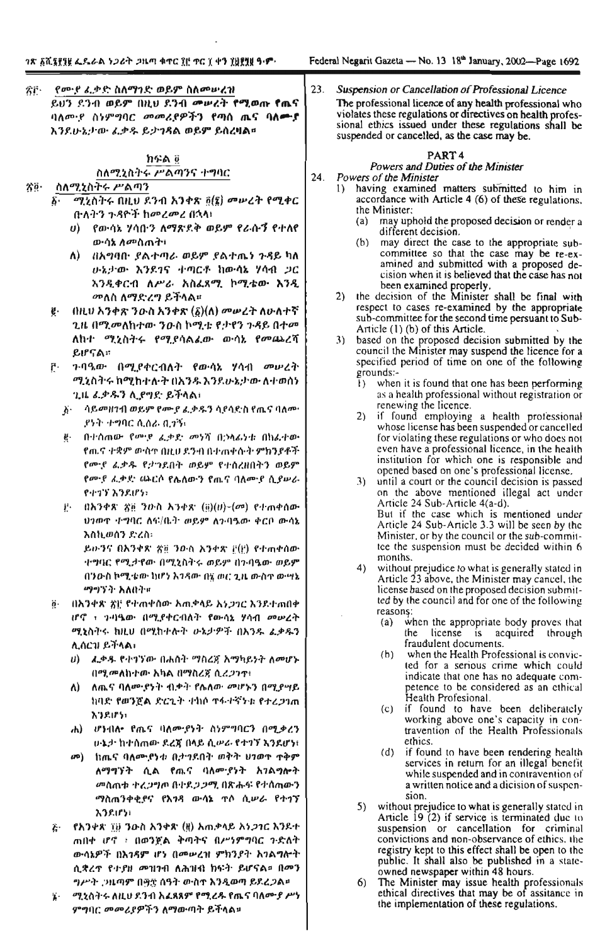| ጻሮ - | የመ <i>ዋ ሌ</i> ቃድ ስለማንድ ወይም ስለመሥረዝ            |  |  |  |  |  |
|------|----------------------------------------------|--|--|--|--|--|
|      | ይህን ደንብ ወይም በዚህ ደንብ መሠረት የሚወጡ የጨና            |  |  |  |  |  |
|      | ባለሙያ ስነምግባር መመሪያዎችን የጣሰ ጤና ባለ <del>ሙ</del> ያ |  |  |  |  |  |
|      | እንደሁኔታው ፈቃዱ ይታንጻል ወይም ይስረዛል።                 |  |  |  |  |  |

## ከፍል @ ስለሚኒስትሩ ሥልጣንና ተግባር

#### ስለሚኒስትሩ ሥልጣን 容ら

- ሚኒስትሩ በዚህ ደንብ አንቀጽ ፬(፮) መሥረት የሚቀር δ. በነለትን ጉዳዮች ከመረመረ በኋላ!
	- $\boldsymbol{\theta}$ ) የውሳኔ ሃሳበ፡ን ለማጽዶቅ ወይም የራሱኝ የተለየ ውሳኔ ለ*መ*ስጠት፣
	- ለ) በአግባቡ ያልተጣራ ወይም ያልተጤን ጉዳይ ካለ ውኔታው እንደገና ተጣርቶ ከውሳኔ ሃሳብ ጋር አንዲቀርብ ለሥራ አስፈጻሚ ኮሚቴው እንዲ *መ*ለስ ለማድረግ ይችላል።
- $($ በዚህ አንቀጽ ንውስ አንቀጽ  $(\delta)$ (ለ) መሥረት ለሁለተኛ ë. ጊዜ በማ.መለከተው ንዑስ ኮሚቴ የታየን ንዳይ በተመ ለከተ ሚኒስትሩ የሚያሳልፈው ውሳኔ የመጨረሻ ይሆናል።
- ን ባዓመ በሚያቀርብለት የውሳኔ ሃሳብ መሠረት ŗ٠ ሚኒስትሩ ከሚከተሉት በአንዱ እንደሁኔታው ለተወሰነ ጊዜ ፊቃዱን ሊያግድ ይችላል፣
	- Å ብይመዘገብ ወይም የሙ*ያ ፌ*ቃዱን ሳያሳድስ የጤና ባለሙ የንት ተግባር ሲሰራ ቢታኝ፣
	- ጅ በተሰጠው የ<u>ውም ፌቃድ መነሻ በ</u>ኃላፊነቱ በክፌተው የሒና ተቋም ውስጥ በዚሀ ደንብ በተጠቀሱት ምክንያቶች የሙያ ፈቃዱ የታንደበት ወይም የተሰረዘበትን ወይም የመዋ ፈቃድ ጨርሶ የሴለውን የጤና ባለሙያ ሲያሠራ የተገኘ እንደሆኑ
	- $\psi = 0$ አንቀጽ ያ፬ ንውስ አንቀጽ  $\langle \tilde{u} \rangle$ (#) $-\langle \sigma^a \rangle$  የተጠቀሰው ህንወዋ ተማባር ለፍ/ቤት ወይም ለንባዔው ቀርቦ ውሳኔ እስኪወሰን ድረስ፡ ይውንና በእንቀጽ ጽ፱ ንውስ አንቀጽ [[t]) የተጠቀሰው ተግባር የሚታየው በሚኒስትሩ ወይም በንባዔው ወይም በንውስ ኮሚቴው ከሆነ አንጻው በ፯ ወር ጊዜ ውስጥ ውሣኔ ማማኝት አለበት፣
- ë በእንቀጽ ጽ) የተጠቀሰው አጠቃላይ እ*ነጋገ*ር እንደተጠበቀ ሆኖ ፣ ንብዔው በሚያቀርብለት የውሳኔ ሃሳብ መሠረት ሚኒስትሩ ከዚሀ በሚከተሉት ሁኔታዎች በእንዱ ፌቃዱን ሊሰርዝ ይችላል፣
	- ሀ) ፈቃዱ የተግኘው በሐሰት ማስረጀ አማካይነት ለመሆኑ በሚመለከተው አካል በማስረጀ ሲረ*ጋገ*ም፥
	- ለ) ለጨና ባለሙያነት ብቃት የሌለው መሆኑን በሚያሣይ ከባድ የወንጀል ድርጊት ተከሶ ተፋተኛንቱ የተረጋገጠ እንደሆነ፡
	- ሐ) ሆነብሎ የጤና ባለሙያነት ስነምግባርን በሚቃረን ሁኔታ ከተሰጠው ደረጃ በላይ ሲሠራ የተገኘ እንደሆነ፣
	- መ) ከጤና ባለሙይነቱ ቢታንደበት ወቅት ህንወጥ ጥቅም ለማግኘት ሲል የጤና ባለሙያነት አንልግሎት መስጠቱ ተረጋግጦ በተደጋጋሚ በጽሑፍ የተሰጠውን ማስጠንቀቂያና የእንዳ ውሳኔ ጥሶ ሲሥራ የተገኘ **አንደሆነ**፣
- <sub>ጅ' -</sub> የአንቀጽ ፲፱ ንውስ አንቀጽ (ዟ) አ<sub>ጣ</sub>ቃላይ አነ*ጋገ*ር እንደተ ጠበቀ ሆኖ ፥ በወንጀል ቅጣትና በሥነምግባር ጉድለት ውሳኔዎች በእንዳም ሆነ በመሥረዝ ምክንያት እንልግሎት ሲቋረዋ የታያዘ መዝንብ ለሕዝብ ክፍት ይሆናል። በመን ግሥት ጋዜጣም በ፵፰ ሰዓት ውስጥ እንዲወጣ ይደረጋል።
- ሚኒስትሩ ለዚህ ደንብ አፈጻጸም የሚረዱ የጨና ባለሙያ ሥነ ï٠ ምግባር መመሪያዎችን ለማውጣት ይችላል።

23. Suspension or Cancellation of Professional Licence The professional licence of any health professional who violates these regulations or directives on health professional ethics issued under these regulations shall be suspended or cancelled, as the case may be.

#### PART4

## Powers and Duties of the Minister

- 24. Powers of the Minister
	- having examined matters submitted to him in  $\mathbf{D}$ accordance with Article 4 (6) of these regulations. the Minister:
		- may uphold the proposed decision or render a  $(a)$ different decision.
		- $(b)$ may direct the case to the appropriate subcommittee so that the case may be re-ex-<br>amined and submitted with a proposed decision when it is believed that the case has not been examined properly.
	- $2)$ the decision of the Minister shall be final with respect to cases re-examined by the appropriate sub-committee for the second time persuant to Sub-Article (1) (b) of this Article.
	- based on the proposed decision submitted by the<br>council the Minister may suspend the licence for a  $3)$ specified period of time on one of the following grounds:
		- when it is found that one has been performing  $\left| \cdot \right\rangle$ as a health professional without registration or renewing the licence.
		- $2)$ if found employing a health professional whose license has been suspended or cancelled for violating these regulations or who does not even have a professional licence, in the health institution for which one is responsible and opened based on one's professional license.
		- 3) until a court or the council decision is passed on the above mentioned illegal act under Article 24 Sub-Article 4(a-d). But if the case which is mentioned under Article 24 Sub-Article 3.3 will be seen by the Minister, or by the council or the sub-committee the suspension must be decided within 6 months.
		- $4)$ without prejudice to what is generally stated in Article 23 above, the Minister may cancel, the license based on the proposed decision submitted by the council and for one of the following reasons:
			- when the appropriate body proves that  $(a)$ the license is acquired through fraudulent documents.
			- $(b)$ when the Health Professional is convicted for a serious crime which could indicate that one has no adequate competence to be considered as an ethical Health Profesional.
			- (c) if found to have been deliberately working above one's capacity in contravention of the Health Professionals ethics.
			- (d) if found to have been rendering health services in return for an illegal benefit while suspended and in contravention of a written notice and a dicision of suspension.
		- 5) without prejudice to what is generally stated in Article  $19(2)$  if service is terminated due to suspension or cancellation for criminal convictions and non-observance of ethics, the registry kept to this effect shall be open to the public. It shall also be published in a stateowned newspaper within 48 hours.
		- The Minister may issue health professionals<br>ethical directives that may be of assitance in 6) the implementation of these regulations.